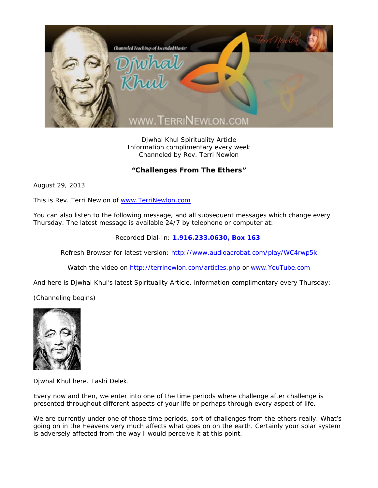

Djwhal Khul Spirituality Article Information complimentary every week Channeled by Rev. Terri Newlon

## **"Challenges From The Ethers"**

August 29, 2013

This is Rev. Terri Newlon of www.TerriNewlon.com

You can also listen to the following message, and all subsequent messages which change every Thursday. The latest message is available 24/7 by telephone or computer at:

Recorded Dial-In: **1.916.233.0630, Box 163** 

Refresh Browser for latest version: http://www.audioacrobat.com/play/WC4rwp5k

Watch the video on http://terrinewlon.com/articles.php or www.YouTube.com

And here is Djwhal Khul's latest Spirituality Article, information complimentary every Thursday:

(Channeling begins)



Djwhal Khul here. Tashi Delek.

Every now and then, we enter into one of the time periods where challenge after challenge is presented throughout different aspects of your life or perhaps through every aspect of life.

We are currently under one of those time periods, sort of challenges from the ethers really. What's going on in the Heavens very much affects what goes on on the earth. Certainly your solar system is adversely affected from the way I would perceive it at this point.